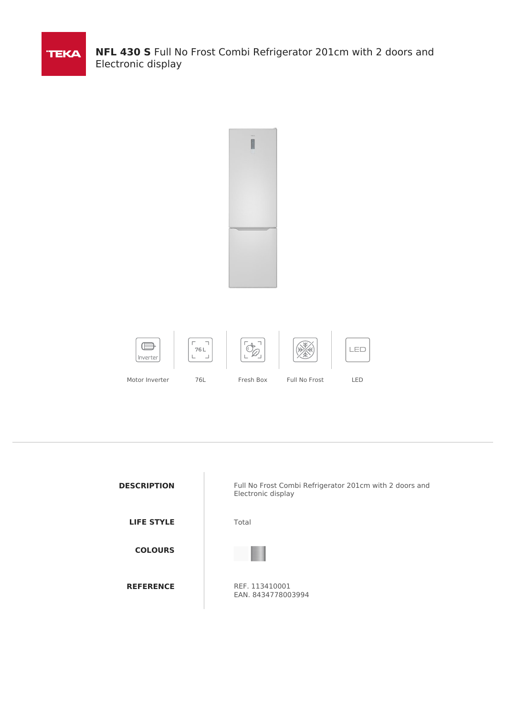

**NFL 430 S** Full No Frost Combi Refrigerator 201cm with 2 doors and Electronic display



| <b>DESCRIPTION</b> | Full No Frost Combi Refrigerator 201cm with 2 doors and<br>Electronic display |
|--------------------|-------------------------------------------------------------------------------|
| <b>LIFE STYLE</b>  | Total                                                                         |
| <b>COLOURS</b>     |                                                                               |
| <b>REFERENCE</b>   | REF. 113410001<br>EAN. 8434778003994                                          |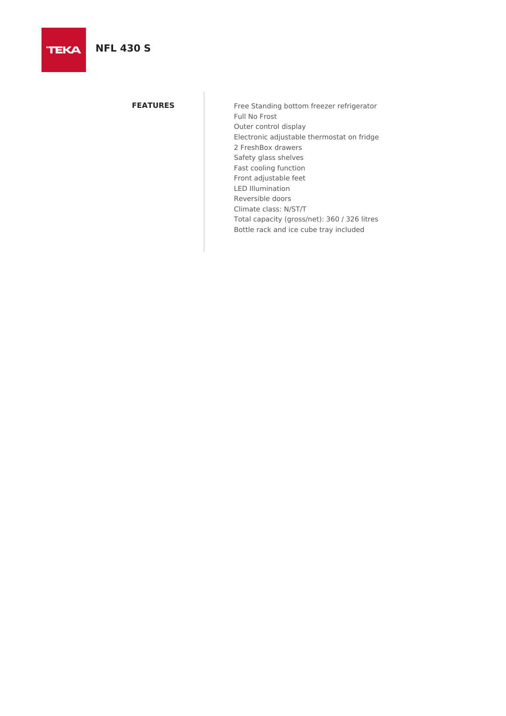# **NFL 430 S**

**TEKA** 

**FEATURES** Free Standing bottom freezer refrigerator Full No Frost Outer control display Electronic adjustable thermostat on fridge 2 FreshBox drawers Safety glass shelves Fast cooling function Front adjustable feet LED Illumination Reversible doors Climate class: N/ST/T Total capacity (gross/net): 360 / 326 litres Bottle rack and ice cube tray included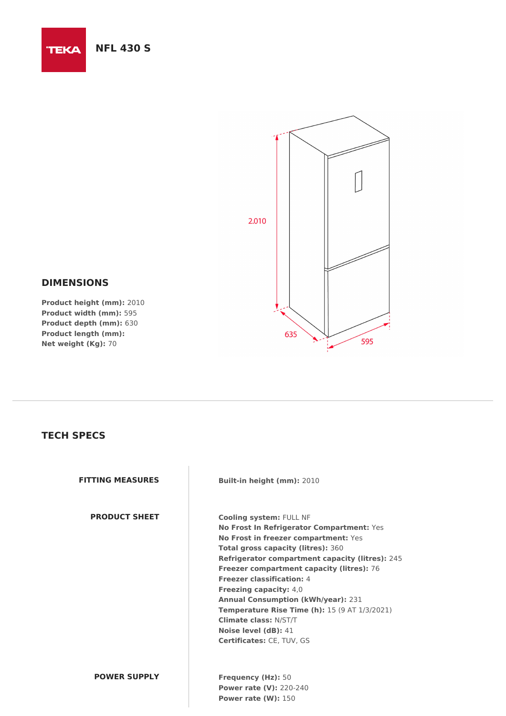### **NFL 430 S**

**TEKA** 



### **DIMENSIONS**

**Product height (mm):** 2010 **Product width (mm):** 595 **Product depth (mm):** 630 **Product length (mm): Net weight (Kg):** 70

## **TECH SPECS**

**PRODUCT SHEET Cooling system:** FULL NF

**FITTING MEASURES Built-in height (mm):** 2010

**No Frost In Refrigerator Compartment:** Yes **No Frost in freezer compartment:** Yes **Total gross capacity (litres):** 360 **Refrigerator compartment capacity (litres):** 245 **Freezer compartment capacity (litres):** 76 **Freezer classification:** 4 **Freezing capacity:** 4,0 **Annual Consumption (kWh/year):** 231 **Temperature Rise Time (h):** 15 (9 AT 1/3/2021) **Climate class:** N/ST/T **Noise level (dB):** 41 **Certificates:** CE, TUV, GS

#### **POWER SUPPLY Frequency (Hz):** 50

**Power rate (V):** 220-240 **Power rate (W):** 150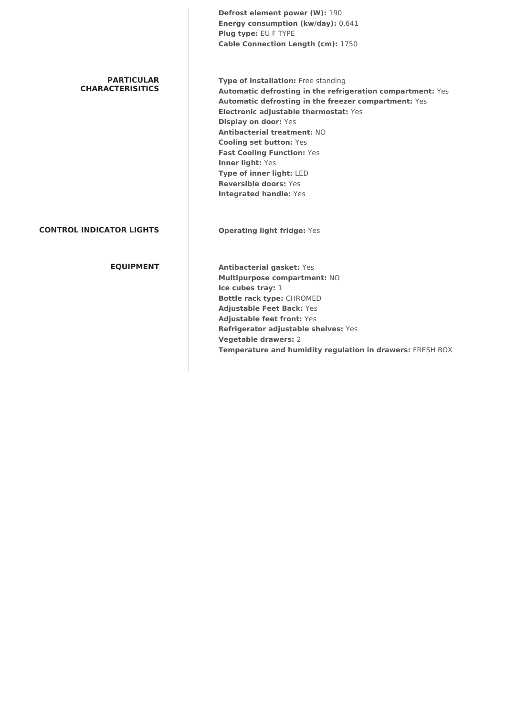|                                              | Defrost element power (W): 190<br>Energy consumption (kw/day): 0,641<br>Plug type: EU F TYPE<br>Cable Connection Length (cm): 1750                                                                                                                                                                                                                                                                                                                       |
|----------------------------------------------|----------------------------------------------------------------------------------------------------------------------------------------------------------------------------------------------------------------------------------------------------------------------------------------------------------------------------------------------------------------------------------------------------------------------------------------------------------|
| <b>PARTICULAR</b><br><b>CHARACTERISITICS</b> | Type of installation: Free standing<br>Automatic defrosting in the refrigeration compartment: Yes<br>Automatic defrosting in the freezer compartment: Yes<br>Electronic adjustable thermostat: Yes<br><b>Display on door: Yes</b><br>Antibacterial treatment: NO<br><b>Cooling set button: Yes</b><br><b>Fast Cooling Function: Yes</b><br>Inner light: Yes<br>Type of inner light: LED<br><b>Reversible doors: Yes</b><br><b>Integrated handle: Yes</b> |
| <b>CONTROL INDICATOR LIGHTS</b>              | <b>Operating light fridge: Yes</b>                                                                                                                                                                                                                                                                                                                                                                                                                       |
| <b>EQUIPMENT</b>                             | <b>Antibacterial gasket: Yes</b><br>Multipurpose compartment: NO<br>Ice cubes tray: 1<br><b>Bottle rack type: CHROMED</b><br><b>Adjustable Feet Back: Yes</b><br><b>Adjustable feet front: Yes</b><br>Refrigerator adjustable shelves: Yes<br><b>Vegetable drawers: 2</b>                                                                                                                                                                                |

**Temperature and humidity regulation in drawers:** FRESH BOX